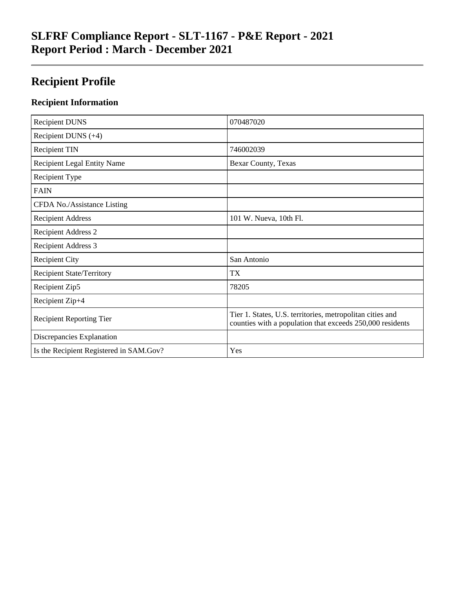# **SLFRF Compliance Report - SLT-1167 - P&E Report - 2021 Report Period : March - December 2021**

# **Recipient Profile**

### **Recipient Information**

| <b>Recipient DUNS</b>                   | 070487020                                                                                                              |
|-----------------------------------------|------------------------------------------------------------------------------------------------------------------------|
| Recipient DUNS $(+4)$                   |                                                                                                                        |
| <b>Recipient TIN</b>                    | 746002039                                                                                                              |
| <b>Recipient Legal Entity Name</b>      | Bexar County, Texas                                                                                                    |
| Recipient Type                          |                                                                                                                        |
| <b>FAIN</b>                             |                                                                                                                        |
| CFDA No./Assistance Listing             |                                                                                                                        |
| <b>Recipient Address</b>                | 101 W. Nueva, 10th Fl.                                                                                                 |
| <b>Recipient Address 2</b>              |                                                                                                                        |
| <b>Recipient Address 3</b>              |                                                                                                                        |
| <b>Recipient City</b>                   | San Antonio                                                                                                            |
| <b>Recipient State/Territory</b>        | <b>TX</b>                                                                                                              |
| Recipient Zip5                          | 78205                                                                                                                  |
| Recipient Zip+4                         |                                                                                                                        |
| <b>Recipient Reporting Tier</b>         | Tier 1. States, U.S. territories, metropolitan cities and<br>counties with a population that exceeds 250,000 residents |
| Discrepancies Explanation               |                                                                                                                        |
| Is the Recipient Registered in SAM.Gov? | Yes                                                                                                                    |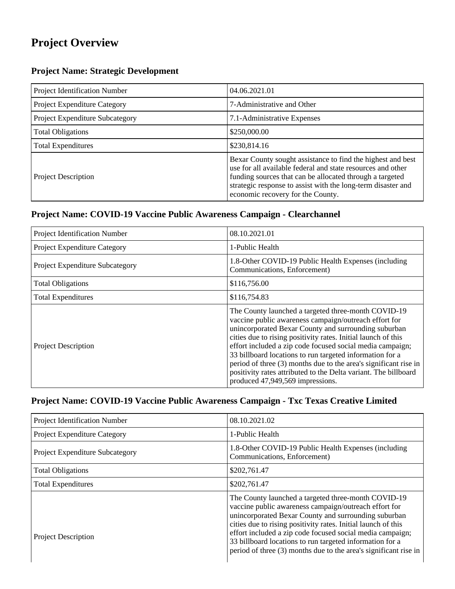# **Project Overview**

#### **Project Name: Strategic Development**

| Project Identification Number   | 04.06.2021.01                                                                                                                                                                                                                                                                               |
|---------------------------------|---------------------------------------------------------------------------------------------------------------------------------------------------------------------------------------------------------------------------------------------------------------------------------------------|
| Project Expenditure Category    | 7-Administrative and Other                                                                                                                                                                                                                                                                  |
| Project Expenditure Subcategory | 7.1-Administrative Expenses                                                                                                                                                                                                                                                                 |
| <b>Total Obligations</b>        | \$250,000.00                                                                                                                                                                                                                                                                                |
| <b>Total Expenditures</b>       | \$230,814.16                                                                                                                                                                                                                                                                                |
| <b>Project Description</b>      | Bexar County sought assistance to find the highest and best<br>use for all available federal and state resources and other<br>funding sources that can be allocated through a targeted<br>strategic response to assist with the long-term disaster and<br>economic recovery for the County. |

#### **Project Name: COVID-19 Vaccine Public Awareness Campaign - Clearchannel**

| Project Identification Number   | 08.10.2021.01                                                                                                                                                                                                                                                                                                                                                                                                                                                                                                                             |
|---------------------------------|-------------------------------------------------------------------------------------------------------------------------------------------------------------------------------------------------------------------------------------------------------------------------------------------------------------------------------------------------------------------------------------------------------------------------------------------------------------------------------------------------------------------------------------------|
| Project Expenditure Category    | 1-Public Health                                                                                                                                                                                                                                                                                                                                                                                                                                                                                                                           |
| Project Expenditure Subcategory | 1.8-Other COVID-19 Public Health Expenses (including<br>Communications, Enforcement)                                                                                                                                                                                                                                                                                                                                                                                                                                                      |
| <b>Total Obligations</b>        | \$116,756.00                                                                                                                                                                                                                                                                                                                                                                                                                                                                                                                              |
| <b>Total Expenditures</b>       | \$116,754.83                                                                                                                                                                                                                                                                                                                                                                                                                                                                                                                              |
| <b>Project Description</b>      | The County launched a targeted three-month COVID-19<br>vaccine public awareness campaign/outreach effort for<br>unincorporated Bexar County and surrounding suburban<br>cities due to rising positivity rates. Initial launch of this<br>effort included a zip code focused social media campaign;<br>33 billboard locations to run targeted information for a<br>period of three (3) months due to the area's significant rise in<br>positivity rates attributed to the Delta variant. The billboard<br>produced 47,949,569 impressions. |

### **Project Name: COVID-19 Vaccine Public Awareness Campaign - Txc Texas Creative Limited**

| Project Identification Number          | 08.10.2021.02                                                                                                                                                                                                                                                                                                                                                                                                                      |
|----------------------------------------|------------------------------------------------------------------------------------------------------------------------------------------------------------------------------------------------------------------------------------------------------------------------------------------------------------------------------------------------------------------------------------------------------------------------------------|
| <b>Project Expenditure Category</b>    | 1-Public Health                                                                                                                                                                                                                                                                                                                                                                                                                    |
| <b>Project Expenditure Subcategory</b> | 1.8-Other COVID-19 Public Health Expenses (including<br>Communications, Enforcement)                                                                                                                                                                                                                                                                                                                                               |
| <b>Total Obligations</b>               | \$202,761.47                                                                                                                                                                                                                                                                                                                                                                                                                       |
| <b>Total Expenditures</b>              | \$202,761.47                                                                                                                                                                                                                                                                                                                                                                                                                       |
| <b>Project Description</b>             | The County launched a targeted three-month COVID-19<br>vaccine public awareness campaign/outreach effort for<br>unincorporated Bexar County and surrounding suburban<br>cities due to rising positivity rates. Initial launch of this<br>effort included a zip code focused social media campaign;<br>33 billboard locations to run targeted information for a<br>period of three (3) months due to the area's significant rise in |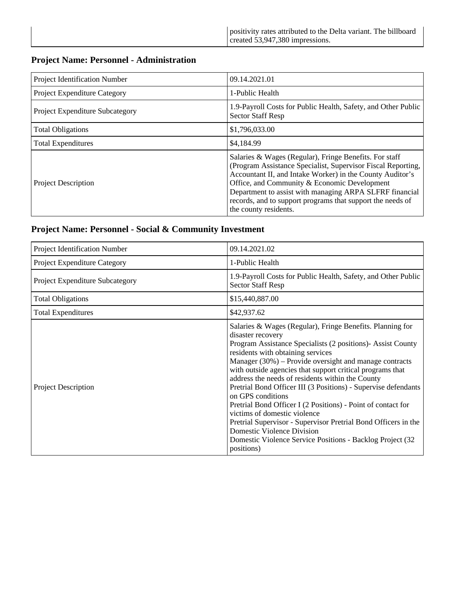#### **Project Name: Personnel - Administration**

| Project Identification Number   | 09.14.2021.01                                                                                                                                                                                                                                                                                                                                                                         |
|---------------------------------|---------------------------------------------------------------------------------------------------------------------------------------------------------------------------------------------------------------------------------------------------------------------------------------------------------------------------------------------------------------------------------------|
| Project Expenditure Category    | 1-Public Health                                                                                                                                                                                                                                                                                                                                                                       |
| Project Expenditure Subcategory | 1.9-Payroll Costs for Public Health, Safety, and Other Public<br><b>Sector Staff Resp</b>                                                                                                                                                                                                                                                                                             |
| <b>Total Obligations</b>        | \$1,796,033.00                                                                                                                                                                                                                                                                                                                                                                        |
| <b>Total Expenditures</b>       | \$4,184.99                                                                                                                                                                                                                                                                                                                                                                            |
| <b>Project Description</b>      | Salaries & Wages (Regular), Fringe Benefits. For staff<br>(Program Assistance Specialist, Supervisor Fiscal Reporting,<br>Accountant II, and Intake Worker) in the County Auditor's<br>Office, and Community & Economic Development<br>Department to assist with managing ARPA SLFRF financial<br>records, and to support programs that support the needs of<br>the county residents. |

#### **Project Name: Personnel - Social & Community Investment**

| Project Identification Number   | 09.14.2021.02                                                                                                                                                                                                                                                                                                                                                                                                                                                                                                                                                                                                                                                                                                                       |
|---------------------------------|-------------------------------------------------------------------------------------------------------------------------------------------------------------------------------------------------------------------------------------------------------------------------------------------------------------------------------------------------------------------------------------------------------------------------------------------------------------------------------------------------------------------------------------------------------------------------------------------------------------------------------------------------------------------------------------------------------------------------------------|
| Project Expenditure Category    | 1-Public Health                                                                                                                                                                                                                                                                                                                                                                                                                                                                                                                                                                                                                                                                                                                     |
| Project Expenditure Subcategory | 1.9-Payroll Costs for Public Health, Safety, and Other Public<br><b>Sector Staff Resp</b>                                                                                                                                                                                                                                                                                                                                                                                                                                                                                                                                                                                                                                           |
| <b>Total Obligations</b>        | \$15,440,887.00                                                                                                                                                                                                                                                                                                                                                                                                                                                                                                                                                                                                                                                                                                                     |
| <b>Total Expenditures</b>       | \$42,937.62                                                                                                                                                                                                                                                                                                                                                                                                                                                                                                                                                                                                                                                                                                                         |
| Project Description             | Salaries & Wages (Regular), Fringe Benefits. Planning for<br>disaster recovery<br>Program Assistance Specialists (2 positions)- Assist County<br>residents with obtaining services<br>Manager $(30\%)$ – Provide oversight and manage contracts<br>with outside agencies that support critical programs that<br>address the needs of residents within the County<br>Pretrial Bond Officer III (3 Positions) - Supervise defendants<br>on GPS conditions<br>Pretrial Bond Officer I (2 Positions) - Point of contact for<br>victims of domestic violence<br>Pretrial Supervisor - Supervisor Pretrial Bond Officers in the<br>Domestic Violence Division<br>Domestic Violence Service Positions - Backlog Project (32)<br>positions) |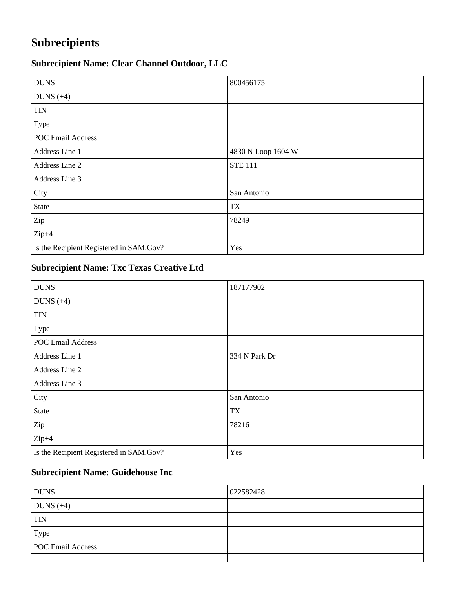# **Subrecipients**

## **Subrecipient Name: Clear Channel Outdoor, LLC**

| <b>DUNS</b>                             | 800456175          |
|-----------------------------------------|--------------------|
| DUNS $(+4)$                             |                    |
| <b>TIN</b>                              |                    |
| Type                                    |                    |
| <b>POC Email Address</b>                |                    |
| Address Line 1                          | 4830 N Loop 1604 W |
| Address Line 2                          | <b>STE 111</b>     |
| Address Line 3                          |                    |
| City                                    | San Antonio        |
| State                                   | <b>TX</b>          |
| Zip                                     | 78249              |
| $Zip+4$                                 |                    |
| Is the Recipient Registered in SAM.Gov? | Yes                |

## **Subrecipient Name: Txc Texas Creative Ltd**

| <b>DUNS</b>                             | 187177902     |
|-----------------------------------------|---------------|
| DUNS $(+4)$                             |               |
| <b>TIN</b>                              |               |
| Type                                    |               |
| <b>POC Email Address</b>                |               |
| Address Line 1                          | 334 N Park Dr |
| Address Line 2                          |               |
| Address Line 3                          |               |
| City                                    | San Antonio   |
| State                                   | <b>TX</b>     |
| Zip                                     | 78216         |
| $Zip+4$                                 |               |
| Is the Recipient Registered in SAM.Gov? | Yes           |

### **Subrecipient Name: Guidehouse Inc**

| <b>DUNS</b>              | 022582428 |
|--------------------------|-----------|
| DUNS $(+4)$              |           |
| <b>TIN</b>               |           |
| Type                     |           |
| <b>POC Email Address</b> |           |
|                          |           |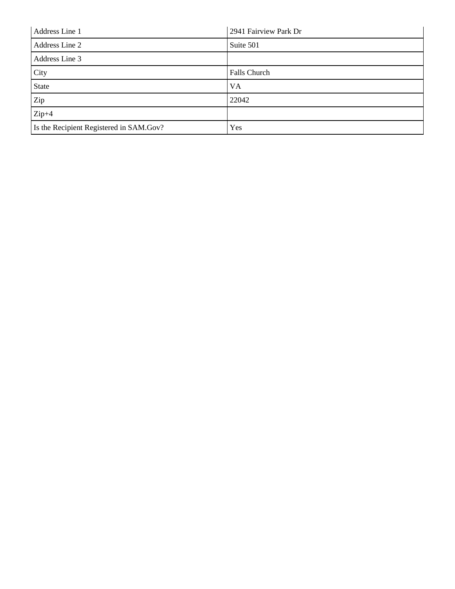| Address Line 1                          | 2941 Fairview Park Dr |
|-----------------------------------------|-----------------------|
| Address Line 2                          | Suite 501             |
| Address Line 3                          |                       |
| City                                    | Falls Church          |
| <b>State</b>                            | <b>VA</b>             |
| Zip                                     | 22042                 |
| $Zip+4$                                 |                       |
| Is the Recipient Registered in SAM.Gov? | Yes                   |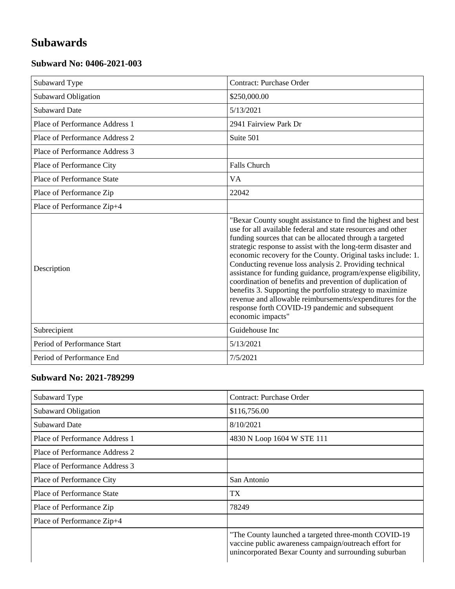# **Subawards**

#### **Subward No: 0406-2021-003**

| Subaward Type                     | <b>Contract: Purchase Order</b>                                                                                                                                                                                                                                                                                                                                                                                                                                                                                                                                                                                                                                                                                    |
|-----------------------------------|--------------------------------------------------------------------------------------------------------------------------------------------------------------------------------------------------------------------------------------------------------------------------------------------------------------------------------------------------------------------------------------------------------------------------------------------------------------------------------------------------------------------------------------------------------------------------------------------------------------------------------------------------------------------------------------------------------------------|
| Subaward Obligation               | \$250,000.00                                                                                                                                                                                                                                                                                                                                                                                                                                                                                                                                                                                                                                                                                                       |
| <b>Subaward Date</b>              | 5/13/2021                                                                                                                                                                                                                                                                                                                                                                                                                                                                                                                                                                                                                                                                                                          |
| Place of Performance Address 1    | 2941 Fairview Park Dr                                                                                                                                                                                                                                                                                                                                                                                                                                                                                                                                                                                                                                                                                              |
| Place of Performance Address 2    | Suite 501                                                                                                                                                                                                                                                                                                                                                                                                                                                                                                                                                                                                                                                                                                          |
| Place of Performance Address 3    |                                                                                                                                                                                                                                                                                                                                                                                                                                                                                                                                                                                                                                                                                                                    |
| Place of Performance City         | Falls Church                                                                                                                                                                                                                                                                                                                                                                                                                                                                                                                                                                                                                                                                                                       |
| <b>Place of Performance State</b> | <b>VA</b>                                                                                                                                                                                                                                                                                                                                                                                                                                                                                                                                                                                                                                                                                                          |
| Place of Performance Zip          | 22042                                                                                                                                                                                                                                                                                                                                                                                                                                                                                                                                                                                                                                                                                                              |
| Place of Performance Zip+4        |                                                                                                                                                                                                                                                                                                                                                                                                                                                                                                                                                                                                                                                                                                                    |
| Description                       | "Bexar County sought assistance to find the highest and best<br>use for all available federal and state resources and other<br>funding sources that can be allocated through a targeted<br>strategic response to assist with the long-term disaster and<br>economic recovery for the County. Original tasks include: 1.<br>Conducting revenue loss analysis 2. Providing technical<br>assistance for funding guidance, program/expense eligibility,<br>coordination of benefits and prevention of duplication of<br>benefits 3. Supporting the portfolio strategy to maximize<br>revenue and allowable reimbursements/expenditures for the<br>response forth COVID-19 pandemic and subsequent<br>economic impacts" |
| Subrecipient                      | Guidehouse Inc                                                                                                                                                                                                                                                                                                                                                                                                                                                                                                                                                                                                                                                                                                     |
| Period of Performance Start       | 5/13/2021                                                                                                                                                                                                                                                                                                                                                                                                                                                                                                                                                                                                                                                                                                          |
| Period of Performance End         | 7/5/2021                                                                                                                                                                                                                                                                                                                                                                                                                                                                                                                                                                                                                                                                                                           |

#### **Subward No: 2021-789299**

| Subaward Type                  | Contract: Purchase Order                                                                                                                                               |
|--------------------------------|------------------------------------------------------------------------------------------------------------------------------------------------------------------------|
| <b>Subaward Obligation</b>     | \$116,756.00                                                                                                                                                           |
| <b>Subaward Date</b>           | 8/10/2021                                                                                                                                                              |
| Place of Performance Address 1 | 4830 N Loop 1604 W STE 111                                                                                                                                             |
| Place of Performance Address 2 |                                                                                                                                                                        |
| Place of Performance Address 3 |                                                                                                                                                                        |
| Place of Performance City      | San Antonio                                                                                                                                                            |
| Place of Performance State     | TX                                                                                                                                                                     |
| Place of Performance Zip       | 78249                                                                                                                                                                  |
| Place of Performance Zip+4     |                                                                                                                                                                        |
|                                | "The County launched a targeted three-month COVID-19"<br>vaccine public awareness campaign/outreach effort for<br>unincorporated Bexar County and surrounding suburban |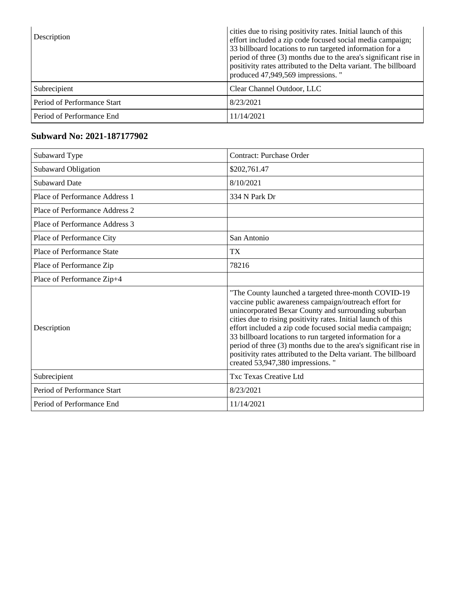| Description                 | cities due to rising positivity rates. Initial launch of this<br>effort included a zip code focused social media campaign;<br>33 billboard locations to run targeted information for a<br>period of three (3) months due to the area's significant rise in<br>positivity rates attributed to the Delta variant. The billboard<br>produced 47,949,569 impressions. " |
|-----------------------------|---------------------------------------------------------------------------------------------------------------------------------------------------------------------------------------------------------------------------------------------------------------------------------------------------------------------------------------------------------------------|
| Subrecipient                | Clear Channel Outdoor, LLC                                                                                                                                                                                                                                                                                                                                          |
| Period of Performance Start | 8/23/2021                                                                                                                                                                                                                                                                                                                                                           |
| Period of Performance End   | 11/14/2021                                                                                                                                                                                                                                                                                                                                                          |

#### **Subward No: 2021-187177902**

| Subaward Type                     | Contract: Purchase Order                                                                                                                                                                                                                                                                                                                                                                                                                                                                                                                   |
|-----------------------------------|--------------------------------------------------------------------------------------------------------------------------------------------------------------------------------------------------------------------------------------------------------------------------------------------------------------------------------------------------------------------------------------------------------------------------------------------------------------------------------------------------------------------------------------------|
| Subaward Obligation               | \$202,761.47                                                                                                                                                                                                                                                                                                                                                                                                                                                                                                                               |
| <b>Subaward Date</b>              | 8/10/2021                                                                                                                                                                                                                                                                                                                                                                                                                                                                                                                                  |
| Place of Performance Address 1    | 334 N Park Dr                                                                                                                                                                                                                                                                                                                                                                                                                                                                                                                              |
| Place of Performance Address 2    |                                                                                                                                                                                                                                                                                                                                                                                                                                                                                                                                            |
| Place of Performance Address 3    |                                                                                                                                                                                                                                                                                                                                                                                                                                                                                                                                            |
| Place of Performance City         | San Antonio                                                                                                                                                                                                                                                                                                                                                                                                                                                                                                                                |
| <b>Place of Performance State</b> | TX <sup>-</sup>                                                                                                                                                                                                                                                                                                                                                                                                                                                                                                                            |
| Place of Performance Zip          | 78216                                                                                                                                                                                                                                                                                                                                                                                                                                                                                                                                      |
| Place of Performance Zip+4        |                                                                                                                                                                                                                                                                                                                                                                                                                                                                                                                                            |
| Description                       | "The County launched a targeted three-month COVID-19<br>vaccine public awareness campaign/outreach effort for<br>unincorporated Bexar County and surrounding suburban<br>cities due to rising positivity rates. Initial launch of this<br>effort included a zip code focused social media campaign;<br>33 billboard locations to run targeted information for a<br>period of three (3) months due to the area's significant rise in<br>positivity rates attributed to the Delta variant. The billboard<br>created 53,947,380 impressions." |
| Subrecipient                      | Txc Texas Creative Ltd                                                                                                                                                                                                                                                                                                                                                                                                                                                                                                                     |
| Period of Performance Start       | 8/23/2021                                                                                                                                                                                                                                                                                                                                                                                                                                                                                                                                  |
| Period of Performance End         | 11/14/2021                                                                                                                                                                                                                                                                                                                                                                                                                                                                                                                                 |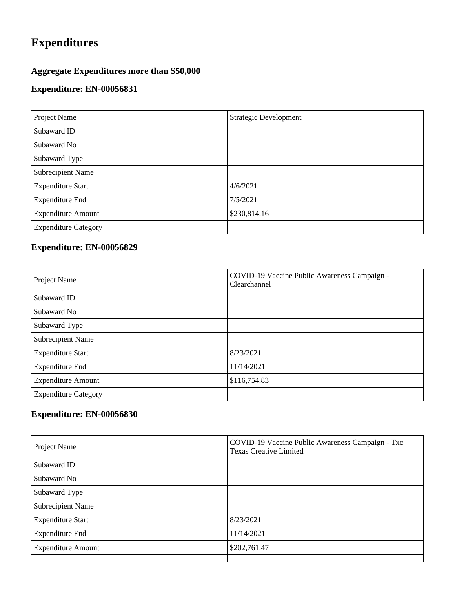# **Expenditures**

### **Aggregate Expenditures more than \$50,000**

### **Expenditure: EN-00056831**

| Project Name                | <b>Strategic Development</b> |
|-----------------------------|------------------------------|
| Subaward ID                 |                              |
| Subaward No                 |                              |
| Subaward Type               |                              |
| Subrecipient Name           |                              |
| <b>Expenditure Start</b>    | 4/6/2021                     |
| <b>Expenditure End</b>      | 7/5/2021                     |
| <b>Expenditure Amount</b>   | \$230,814.16                 |
| <b>Expenditure Category</b> |                              |

## **Expenditure: EN-00056829**

| Project Name                | COVID-19 Vaccine Public Awareness Campaign -<br>Clearchannel |
|-----------------------------|--------------------------------------------------------------|
| Subaward ID                 |                                                              |
| Subaward No                 |                                                              |
| Subaward Type               |                                                              |
| Subrecipient Name           |                                                              |
| <b>Expenditure Start</b>    | 8/23/2021                                                    |
| <b>Expenditure End</b>      | 11/14/2021                                                   |
| <b>Expenditure Amount</b>   | \$116,754.83                                                 |
| <b>Expenditure Category</b> |                                                              |

## **Expenditure: EN-00056830**

| Project Name              | COVID-19 Vaccine Public Awareness Campaign - Txc<br><b>Texas Creative Limited</b> |
|---------------------------|-----------------------------------------------------------------------------------|
| Subaward ID               |                                                                                   |
| Subaward No               |                                                                                   |
| Subaward Type             |                                                                                   |
| <b>Subrecipient Name</b>  |                                                                                   |
| <b>Expenditure Start</b>  | 8/23/2021                                                                         |
| <b>Expenditure End</b>    | 11/14/2021                                                                        |
| <b>Expenditure Amount</b> | \$202,761.47                                                                      |
|                           |                                                                                   |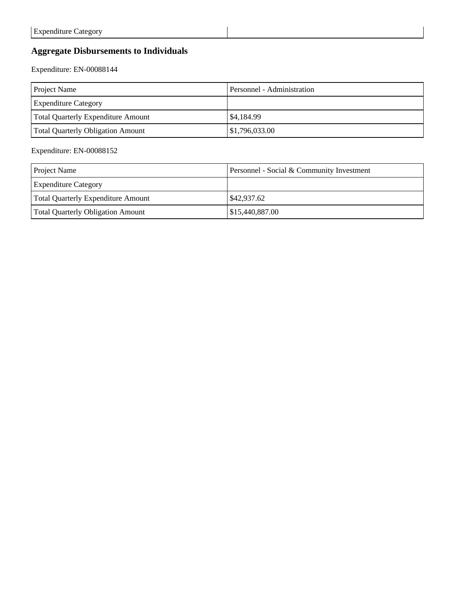### **Aggregate Disbursements to Individuals**

Expenditure: EN-00088144

| <b>Project Name</b>                      | Personnel - Administration |
|------------------------------------------|----------------------------|
| <b>Expenditure Category</b>              |                            |
| Total Quarterly Expenditure Amount       | \$4,184.99                 |
| <b>Total Quarterly Obligation Amount</b> | \$1,796,033.00             |

#### Expenditure: EN-00088152

| <b>Project Name</b>                      | Personnel - Social & Community Investment |
|------------------------------------------|-------------------------------------------|
| <b>Expenditure Category</b>              |                                           |
| Total Quarterly Expenditure Amount       | \$42,937.62                               |
| <b>Total Quarterly Obligation Amount</b> | \$15,440,887.00                           |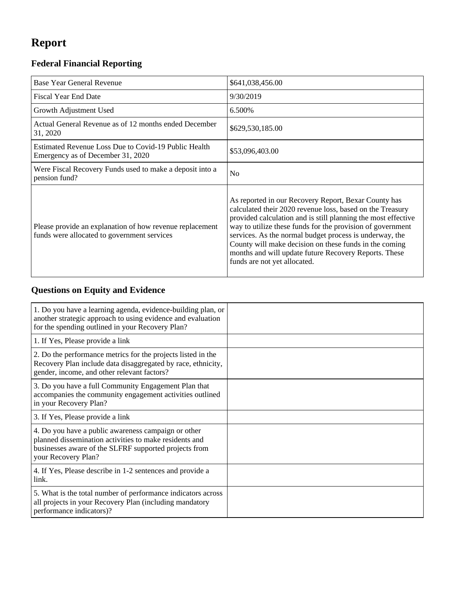# **Report**

## **Federal Financial Reporting**

| <b>Base Year General Revenue</b>                                                                        | \$641,038,456.00                                                                                                                                                                                                                                                                                                                                                                                                                                               |
|---------------------------------------------------------------------------------------------------------|----------------------------------------------------------------------------------------------------------------------------------------------------------------------------------------------------------------------------------------------------------------------------------------------------------------------------------------------------------------------------------------------------------------------------------------------------------------|
| <b>Fiscal Year End Date</b>                                                                             | 9/30/2019                                                                                                                                                                                                                                                                                                                                                                                                                                                      |
| Growth Adjustment Used                                                                                  | 6.500%                                                                                                                                                                                                                                                                                                                                                                                                                                                         |
| Actual General Revenue as of 12 months ended December<br>31, 2020                                       | \$629,530,185.00                                                                                                                                                                                                                                                                                                                                                                                                                                               |
| Estimated Revenue Loss Due to Covid-19 Public Health<br>Emergency as of December 31, 2020               | \$53,096,403.00                                                                                                                                                                                                                                                                                                                                                                                                                                                |
| Were Fiscal Recovery Funds used to make a deposit into a<br>pension fund?                               | No                                                                                                                                                                                                                                                                                                                                                                                                                                                             |
| Please provide an explanation of how revenue replacement<br>funds were allocated to government services | As reported in our Recovery Report, Bexar County has<br>calculated their 2020 revenue loss, based on the Treasury<br>provided calculation and is still planning the most effective<br>way to utilize these funds for the provision of government<br>services. As the normal budget process is underway, the<br>County will make decision on these funds in the coming<br>months and will update future Recovery Reports. These<br>funds are not yet allocated. |

## **Questions on Equity and Evidence**

| 1. Do you have a learning agenda, evidence-building plan, or<br>another strategic approach to using evidence and evaluation<br>for the spending outlined in your Recovery Plan?               |  |
|-----------------------------------------------------------------------------------------------------------------------------------------------------------------------------------------------|--|
| 1. If Yes, Please provide a link                                                                                                                                                              |  |
| 2. Do the performance metrics for the projects listed in the<br>Recovery Plan include data disaggregated by race, ethnicity,<br>gender, income, and other relevant factors?                   |  |
| 3. Do you have a full Community Engagement Plan that<br>accompanies the community engagement activities outlined<br>in your Recovery Plan?                                                    |  |
| 3. If Yes, Please provide a link                                                                                                                                                              |  |
| 4. Do you have a public awareness campaign or other<br>planned dissemination activities to make residents and<br>businesses aware of the SLFRF supported projects from<br>your Recovery Plan? |  |
| 4. If Yes, Please describe in 1-2 sentences and provide a<br>link.                                                                                                                            |  |
| 5. What is the total number of performance indicators across<br>all projects in your Recovery Plan (including mandatory<br>performance indicators)?                                           |  |